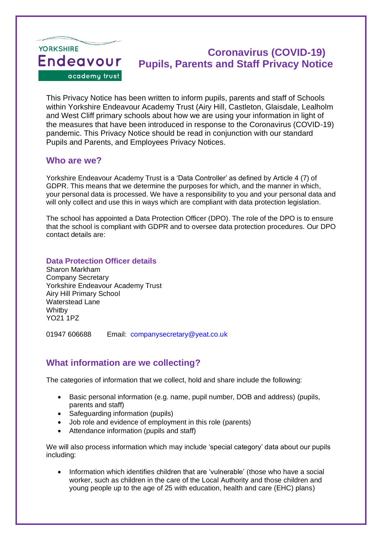

# **Coronavirus (COVID-19) Pupils, Parents and Staff Privacy Notice**

This Privacy Notice has been written to inform pupils, parents and staff of Schools within Yorkshire Endeavour Academy Trust (Airy Hill, Castleton, Glaisdale, Lealholm and West Cliff primary schools about how we are using your information in light of the measures that have been introduced in response to the Coronavirus (COVID-19) pandemic. This Privacy Notice should be read in conjunction with our standard Pupils and Parents, and Employees Privacy Notices.

#### **Who are we?**

Yorkshire Endeavour Academy Trust is a 'Data Controller' as defined by Article 4 (7) of GDPR. This means that we determine the purposes for which, and the manner in which, your personal data is processed. We have a responsibility to you and your personal data and will only collect and use this in ways which are compliant with data protection legislation.

The school has appointed a Data Protection Officer (DPO). The role of the DPO is to ensure that the school is compliant with GDPR and to oversee data protection procedures. Our DPO contact details are:

#### **Data Protection Officer details**

Sharon Markham Company Secretary Yorkshire Endeavour Academy Trust Airy Hill Primary School Waterstead Lane **Whitby** YO21 1PZ

01947 606688 Email: [companysecretary@yeat.co.uk](mailto:companysecretary@yeat.co.uk)

# **What information are we collecting?**

The categories of information that we collect, hold and share include the following:

- Basic personal information (e.g. name, pupil number, DOB and address) (pupils, parents and staff)
- Safeguarding information (pupils)
- Job role and evidence of employment in this role (parents)
- Attendance information (pupils and staff)

We will also process information which may include 'special category' data about our pupils including:

• Information which identifies children that are 'vulnerable' (those who have a social worker, such as children in the care of the Local Authority and those children and young people up to the age of 25 with education, health and care (EHC) plans)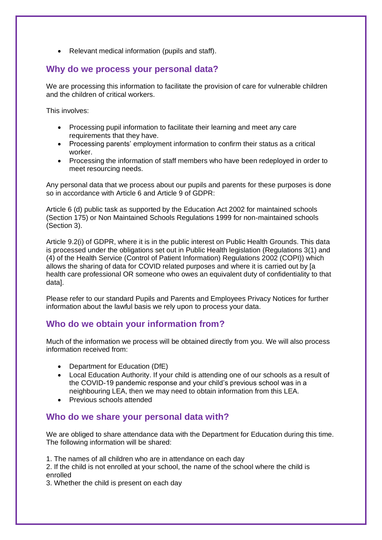• Relevant medical information (pupils and staff).

### **Why do we process your personal data?**

We are processing this information to facilitate the provision of care for vulnerable children and the children of critical workers.

This involves:

- Processing pupil information to facilitate their learning and meet any care requirements that they have.
- Processing parents' employment information to confirm their status as a critical worker.
- Processing the information of staff members who have been redeployed in order to meet resourcing needs.

Any personal data that we process about our pupils and parents for these purposes is done so in accordance with Article 6 and Article 9 of GDPR:

Article 6 (d) public task as supported by the Education Act 2002 for maintained schools (Section 175) or Non Maintained Schools Regulations 1999 for non-maintained schools (Section 3).

Article 9.2(i) of GDPR, where it is in the public interest on Public Health Grounds. This data is processed under the obligations set out in Public Health legislation (Regulations 3(1) and (4) of the Health Service (Control of Patient Information) Regulations 2002 (COPI)) which allows the sharing of data for COVID related purposes and where it is carried out by [a health care professional OR someone who owes an equivalent duty of confidentiality to that data].

Please refer to our standard Pupils and Parents and Employees Privacy Notices for further information about the lawful basis we rely upon to process your data.

#### **Who do we obtain your information from?**

Much of the information we process will be obtained directly from you. We will also process information received from:

- Department for Education (DfE)
- Local Education Authority. If your child is attending one of our schools as a result of the COVID-19 pandemic response and your child's previous school was in a neighbouring LEA, then we may need to obtain information from this LEA.
- Previous schools attended

#### **Who do we share your personal data with?**

We are obliged to share attendance data with the Department for Education during this time. The following information will be shared:

1. The names of all children who are in attendance on each day

2. If the child is not enrolled at your school, the name of the school where the child is enrolled

3. Whether the child is present on each day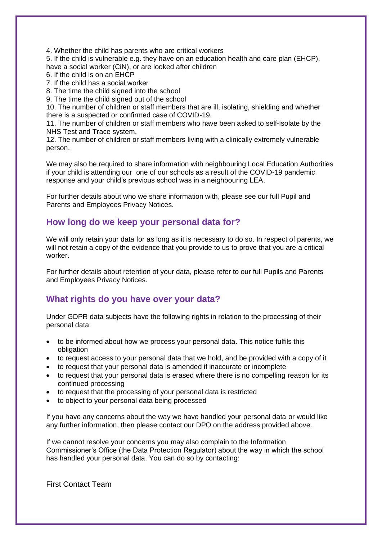4. Whether the child has parents who are critical workers

5. If the child is vulnerable e.g. they have on an education health and care plan (EHCP), have a social worker (CiN), or are looked after children

6. If the child is on an EHCP

7. If the child has a social worker

8. The time the child signed into the school

9. The time the child signed out of the school

10. The number of children or staff members that are ill, isolating, shielding and whether there is a suspected or confirmed case of COVID-19.

11. The number of children or staff members who have been asked to self-isolate by the NHS Test and Trace system.

12. The number of children or staff members living with a clinically extremely vulnerable person.

We may also be required to share information with neighbouring Local Education Authorities if your child is attending our one of our schools as a result of the COVID-19 pandemic response and your child's previous school was in a neighbouring LEA.

For further details about who we share information with, please see our full Pupil and Parents and Employees Privacy Notices.

## **How long do we keep your personal data for?**

We will only retain your data for as long as it is necessary to do so. In respect of parents, we will not retain a copy of the evidence that you provide to us to prove that you are a critical worker.

For further details about retention of your data, please refer to our full Pupils and Parents and Employees Privacy Notices.

# **What rights do you have over your data?**

Under GDPR data subjects have the following rights in relation to the processing of their personal data:

- to be informed about how we process your personal data. This notice fulfils this obligation
- to request access to your personal data that we hold, and be provided with a copy of it
- to request that your personal data is amended if inaccurate or incomplete
- to request that your personal data is erased where there is no compelling reason for its continued processing
- to request that the processing of your personal data is restricted
- to object to your personal data being processed

If you have any concerns about the way we have handled your personal data or would like any further information, then please contact our DPO on the address provided above.

If we cannot resolve your concerns you may also complain to the Information Commissioner's Office (the Data Protection Regulator) about the way in which the school has handled your personal data. You can do so by contacting:

First Contact Team